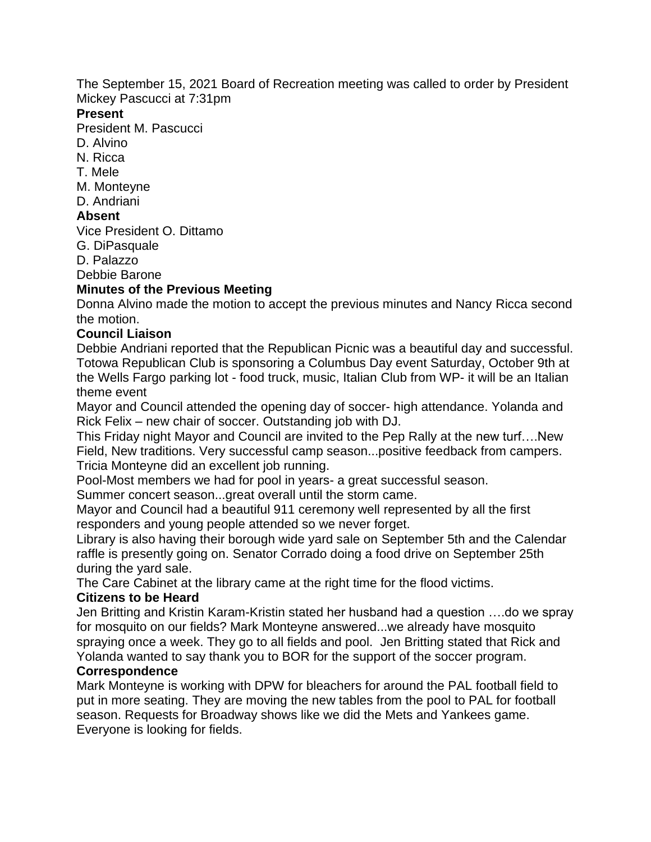The September 15, 2021 Board of Recreation meeting was called to order by President Mickey Pascucci at 7:31pm

#### **Present**

President M. Pascucci

- D. Alvino
- N. Ricca
- T. Mele
- M. Monteyne
- D. Andriani

## **Absent**

Vice President O. Dittamo

G. DiPasquale

D. Palazzo

Debbie Barone

## **Minutes of the Previous Meeting**

Donna Alvino made the motion to accept the previous minutes and Nancy Ricca second the motion.

## **Council Liaison**

Debbie Andriani reported that the Republican Picnic was a beautiful day and successful. Totowa Republican Club is sponsoring a Columbus Day event Saturday, October 9th at the Wells Fargo parking lot - food truck, music, Italian Club from WP- it will be an Italian theme event

Mayor and Council attended the opening day of soccer- high attendance. Yolanda and Rick Felix – new chair of soccer. Outstanding job with DJ.

This Friday night Mayor and Council are invited to the Pep Rally at the new turf….New Field, New traditions. Very successful camp season...positive feedback from campers. Tricia Monteyne did an excellent job running.

Pool-Most members we had for pool in years- a great successful season.

Summer concert season...great overall until the storm came.

Mayor and Council had a beautiful 911 ceremony well represented by all the first responders and young people attended so we never forget.

Library is also having their borough wide yard sale on September 5th and the Calendar raffle is presently going on. Senator Corrado doing a food drive on September 25th during the yard sale.

The Care Cabinet at the library came at the right time for the flood victims.

### **Citizens to be Heard**

Jen Britting and Kristin Karam-Kristin stated her husband had a question ….do we spray for mosquito on our fields? Mark Monteyne answered...we already have mosquito spraying once a week. They go to all fields and pool. Jen Britting stated that Rick and Yolanda wanted to say thank you to BOR for the support of the soccer program.

### **Correspondence**

Mark Monteyne is working with DPW for bleachers for around the PAL football field to put in more seating. They are moving the new tables from the pool to PAL for football season. Requests for Broadway shows like we did the Mets and Yankees game. Everyone is looking for fields.